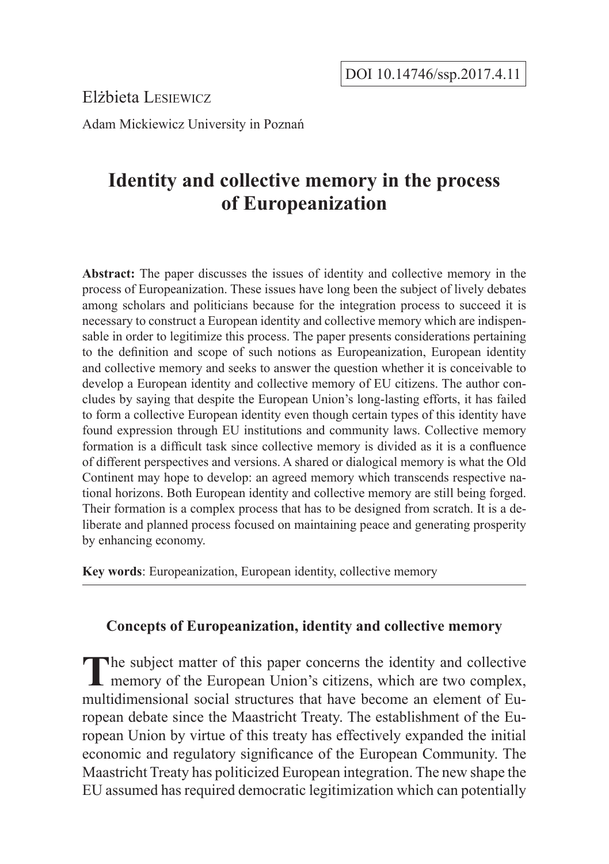Elżbieta Lesiewicz

Adam Mickiewicz University in Poznań

# **Identity and collective memory in the process of Europeanization**

**Abstract:** The paper discusses the issues of identity and collective memory in the process of Europeanization. These issues have long been the subject of lively debates among scholars and politicians because for the integration process to succeed it is necessary to construct a European identity and collective memory which are indispensable in order to legitimize this process. The paper presents considerations pertaining to the definition and scope of such notions as Europeanization, European identity and collective memory and seeks to answer the question whether it is conceivable to develop a European identity and collective memory of EU citizens. The author concludes by saying that despite the European Union's long-lasting efforts, it has failed to form a collective European identity even though certain types of this identity have found expression through EU institutions and community laws. Collective memory formation is a difficult task since collective memory is divided as it is a confluence of different perspectives and versions. A shared or dialogical memory is what the Old Continent may hope to develop: an agreed memory which transcends respective national horizons. Both European identity and collective memory are still being forged. Their formation is a complex process that has to be designed from scratch. It is a deliberate and planned process focused on maintaining peace and generating prosperity by enhancing economy.

**Key words**: Europeanization, European identity, collective memory

# **Concepts of Europeanization, identity and collective memory**

**The subject matter of this paper concerns the identity and collective L** memory of the European Union's citizens, which are two complex, multidimensional social structures that have become an element of European debate since the Maastricht Treaty. The establishment of the European Union by virtue of this treaty has effectively expanded the initial economic and regulatory significance of the European Community. The Maastricht Treaty has politicized European integration. The new shape the EU assumed has required democratic legitimization which can potentially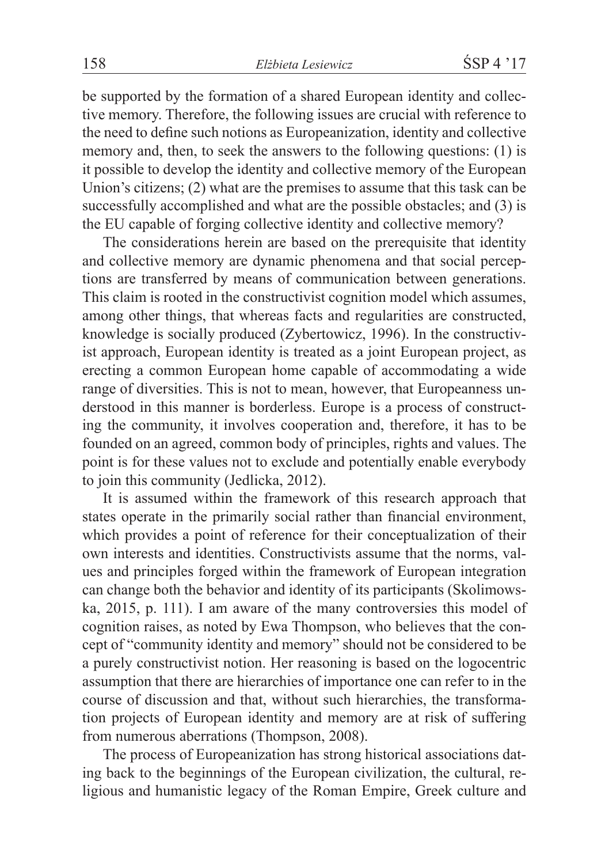be supported by the formation of a shared European identity and collective memory. Therefore, the following issues are crucial with reference to the need to define such notions as Europeanization, identity and collective memory and, then, to seek the answers to the following questions: (1) is it possible to develop the identity and collective memory of the European Union's citizens; (2) what are the premises to assume that this task can be successfully accomplished and what are the possible obstacles; and (3) is the EU capable of forging collective identity and collective memory?

The considerations herein are based on the prerequisite that identity and collective memory are dynamic phenomena and that social perceptions are transferred by means of communication between generations. This claim is rooted in the constructivist cognition model which assumes, among other things, that whereas facts and regularities are constructed, knowledge is socially produced (Zybertowicz, 1996). In the constructivist approach, European identity is treated as a joint European project, as erecting a common European home capable of accommodating a wide range of diversities. This is not to mean, however, that Europeanness understood in this manner is borderless. Europe is a process of constructing the community, it involves cooperation and, therefore, it has to be founded on an agreed, common body of principles, rights and values. The point is for these values not to exclude and potentially enable everybody to join this community (Jedlicka, 2012).

It is assumed within the framework of this research approach that states operate in the primarily social rather than financial environment, which provides a point of reference for their conceptualization of their own interests and identities. Constructivists assume that the norms, values and principles forged within the framework of European integration can change both the behavior and identity of its participants (Skolimowska, 2015, p. 111). I am aware of the many controversies this model of cognition raises, as noted by Ewa Thompson, who believes that the concept of "community identity and memory" should not be considered to be a purely constructivist notion. Her reasoning is based on the logocentric assumption that there are hierarchies of importance one can refer to in the course of discussion and that, without such hierarchies, the transformation projects of European identity and memory are at risk of suffering from numerous aberrations (Thompson, 2008).

The process of Europeanization has strong historical associations dating back to the beginnings of the European civilization, the cultural, religious and humanistic legacy of the Roman Empire, Greek culture and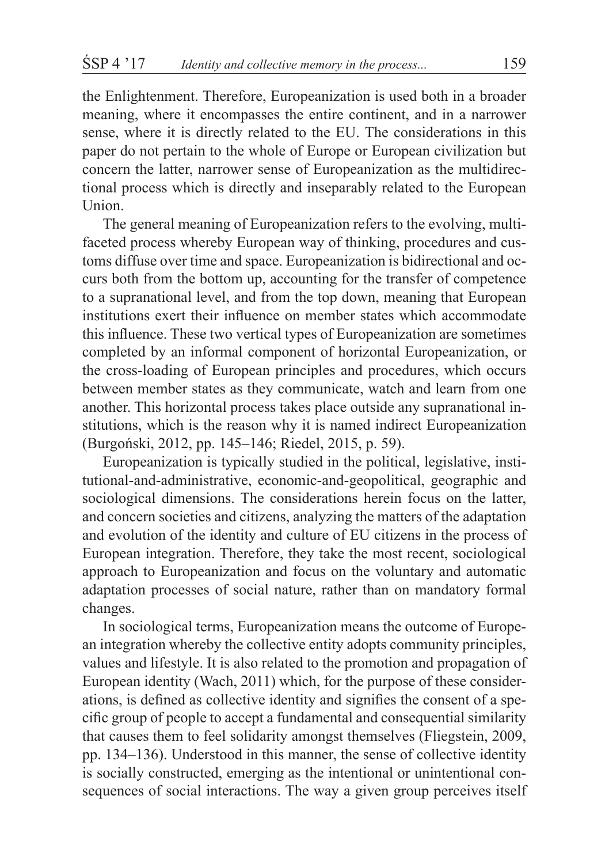the Enlightenment. Therefore, Europeanization is used both in a broader meaning, where it encompasses the entire continent, and in a narrower sense, where it is directly related to the EU. The considerations in this paper do not pertain to the whole of Europe or European civilization but concern the latter, narrower sense of Europeanization as the multidirectional process which is directly and inseparably related to the European Union.

The general meaning of Europeanization refers to the evolving, multifaceted process whereby European way of thinking, procedures and customs diffuse over time and space. Europeanization is bidirectional and occurs both from the bottom up, accounting for the transfer of competence to a supranational level, and from the top down, meaning that European institutions exert their influence on member states which accommodate this influence. These two vertical types of Europeanization are sometimes completed by an informal component of horizontal Europeanization, or the cross-loading of European principles and procedures, which occurs between member states as they communicate, watch and learn from one another. This horizontal process takes place outside any supranational institutions, which is the reason why it is named indirect Europeanization (Burgoński, 2012, pp. 145–146; Riedel, 2015, p. 59).

Europeanization is typically studied in the political, legislative, institutional-and-administrative, economic-and-geopolitical, geographic and sociological dimensions. The considerations herein focus on the latter, and concern societies and citizens, analyzing the matters of the adaptation and evolution of the identity and culture of EU citizens in the process of European integration. Therefore, they take the most recent, sociological approach to Europeanization and focus on the voluntary and automatic adaptation processes of social nature, rather than on mandatory formal changes.

In sociological terms, Europeanization means the outcome of European integration whereby the collective entity adopts community principles, values and lifestyle. It is also related to the promotion and propagation of European identity (Wach, 2011) which, for the purpose of these considerations, is defined as collective identity and signifies the consent of a specific group of people to accept a fundamental and consequential similarity that causes them to feel solidarity amongst themselves (Fliegstein, 2009, pp. 134–136). Understood in this manner, the sense of collective identity is socially constructed, emerging as the intentional or unintentional consequences of social interactions. The way a given group perceives itself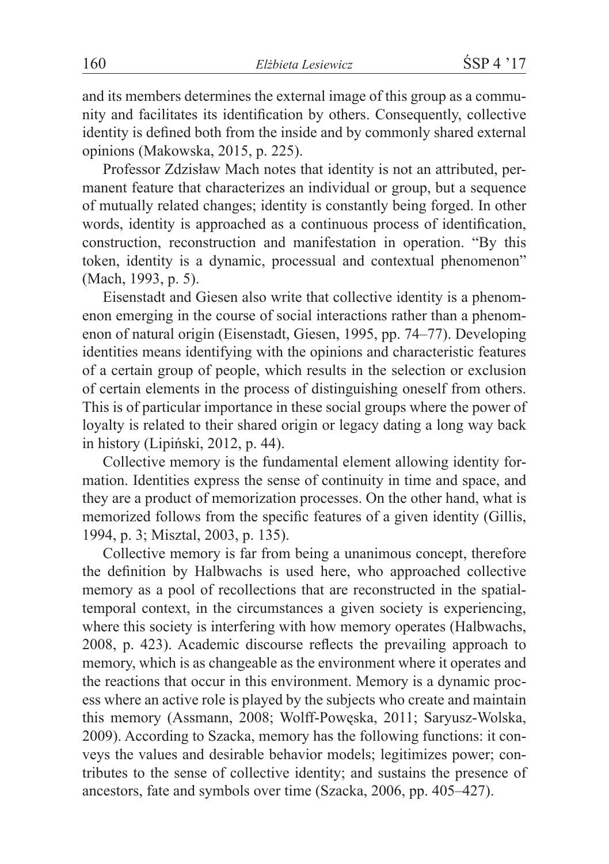and its members determines the external image of this group as a community and facilitates its identification by others. Consequently, collective identity is defined both from the inside and by commonly shared external opinions (Makowska, 2015, p. 225).

Professor Zdzisław Mach notes that identity is not an attributed, permanent feature that characterizes an individual or group, but a sequence of mutually related changes; identity is constantly being forged. In other words, identity is approached as a continuous process of identification, construction, reconstruction and manifestation in operation. "By this token, identity is a dynamic, processual and contextual phenomenon" (Mach, 1993, p. 5).

Eisenstadt and Giesen also write that collective identity is a phenomenon emerging in the course of social interactions rather than a phenomenon of natural origin (Eisenstadt, Giesen, 1995, pp. 74–77). Developing identities means identifying with the opinions and characteristic features of a certain group of people, which results in the selection or exclusion of certain elements in the process of distinguishing oneself from others. This is of particular importance in these social groups where the power of loyalty is related to their shared origin or legacy dating a long way back in history (Lipiński, 2012, p. 44).

Collective memory is the fundamental element allowing identity formation. Identities express the sense of continuity in time and space, and they are a product of memorization processes. On the other hand, what is memorized follows from the specific features of a given identity (Gillis, 1994, p. 3; Misztal, 2003, p. 135).

Collective memory is far from being a unanimous concept, therefore the definition by Halbwachs is used here, who approached collective memory as a pool of recollections that are reconstructed in the spatialtemporal context, in the circumstances a given society is experiencing, where this society is interfering with how memory operates (Halbwachs, 2008, p. 423). Academic discourse reflects the prevailing approach to memory, which is as changeable as the environment where it operates and the reactions that occur in this environment. Memory is a dynamic process where an active role is played by the subjects who create and maintain this memory (Assmann, 2008; Wolff-Powęska, 2011; Saryusz-Wolska, 2009). According to Szacka, memory has the following functions: it conveys the values and desirable behavior models; legitimizes power; contributes to the sense of collective identity; and sustains the presence of ancestors, fate and symbols over time (Szacka, 2006, pp. 405–427).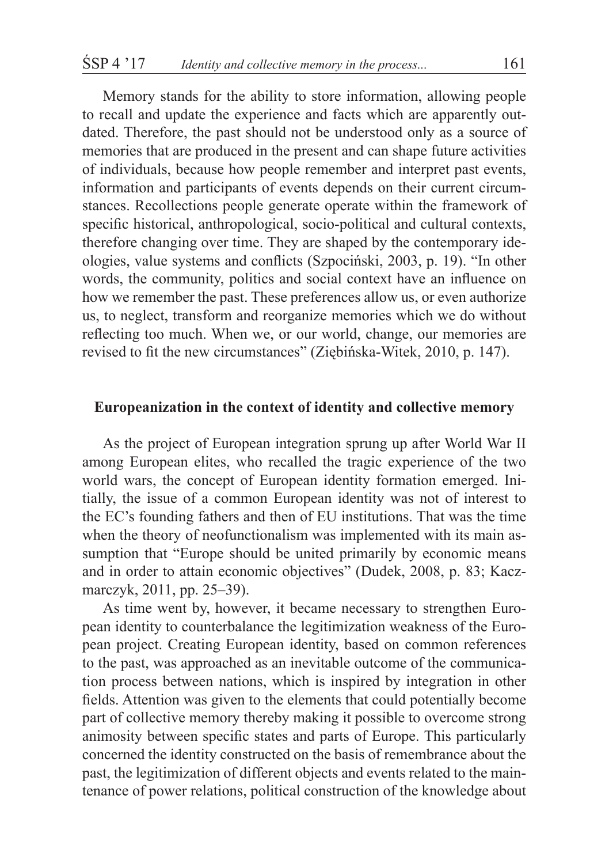Memory stands for the ability to store information, allowing people to recall and update the experience and facts which are apparently outdated. Therefore, the past should not be understood only as a source of memories that are produced in the present and can shape future activities of individuals, because how people remember and interpret past events, information and participants of events depends on their current circumstances. Recollections people generate operate within the framework of specific historical, anthropological, socio-political and cultural contexts, therefore changing over time. They are shaped by the contemporary ideologies, value systems and conflicts (Szpociński, 2003, p. 19). "In other words, the community, politics and social context have an influence on how we remember the past. These preferences allow us, or even authorize us, to neglect, transform and reorganize memories which we do without reflecting too much. When we, or our world, change, our memories are revised to fit the new circumstances" (Ziębińska-Witek, 2010, p. 147).

### **Europeanization in the context of identity and collective memory**

As the project of European integration sprung up after World War II among European elites, who recalled the tragic experience of the two world wars, the concept of European identity formation emerged. Initially, the issue of a common European identity was not of interest to the EC's founding fathers and then of EU institutions. That was the time when the theory of neofunctionalism was implemented with its main assumption that "Europe should be united primarily by economic means and in order to attain economic objectives" (Dudek, 2008, p. 83; Kaczmarczyk, 2011, pp. 25–39).

As time went by, however, it became necessary to strengthen European identity to counterbalance the legitimization weakness of the European project. Creating European identity, based on common references to the past, was approached as an inevitable outcome of the communication process between nations, which is inspired by integration in other fields. Attention was given to the elements that could potentially become part of collective memory thereby making it possible to overcome strong animosity between specific states and parts of Europe. This particularly concerned the identity constructed on the basis of remembrance about the past, the legitimization of different objects and events related to the maintenance of power relations, political construction of the knowledge about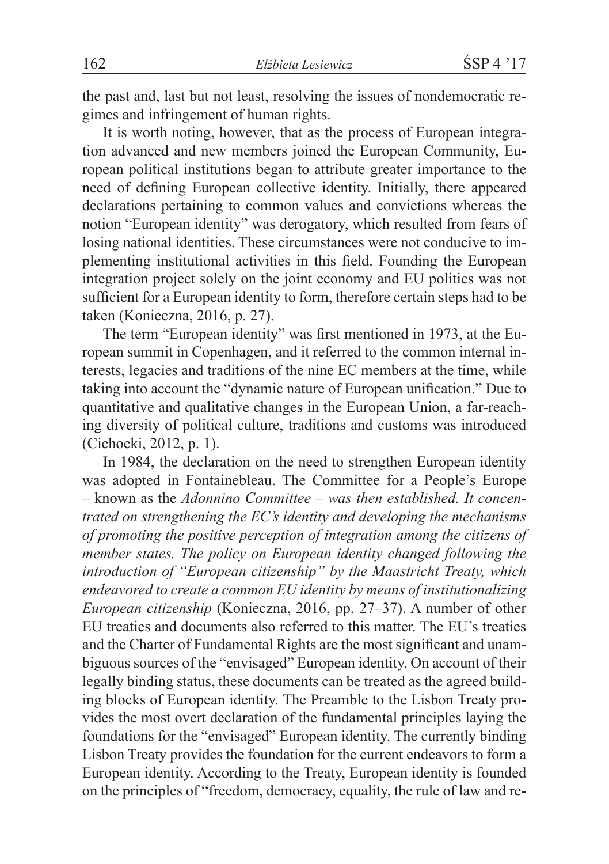the past and, last but not least, resolving the issues of nondemocratic regimes and infringement of human rights.

It is worth noting, however, that as the process of European integration advanced and new members joined the European Community, European political institutions began to attribute greater importance to the need of defining European collective identity. Initially, there appeared declarations pertaining to common values and convictions whereas the notion "European identity" was derogatory, which resulted from fears of losing national identities. These circumstances were not conducive to implementing institutional activities in this field. Founding the European integration project solely on the joint economy and EU politics was not sufficient for a European identity to form, therefore certain steps had to be taken (Konieczna, 2016, p. 27).

The term "European identity" was first mentioned in 1973, at the European summit in Copenhagen, and it referred to the common internal interests, legacies and traditions of the nine EC members at the time, while taking into account the "dynamic nature of European unification." Due to quantitative and qualitative changes in the European Union, a far-reaching diversity of political culture, traditions and customs was introduced (Cichocki, 2012, p. 1).

In 1984, the declaration on the need to strengthen European identity was adopted in Fontainebleau. The Committee for a People's Europe – known as the *Adonnino Committee – was then established. It concentrated on strengthening the EC's identity and developing the mechanisms of promoting the positive perception of integration among the citizens of member states. The policy on European identity changed following the introduction of "European citizenship" by the Maastricht Treaty, which endeavored to create a common EU identity by means of institutionalizing European citizenship* (Konieczna, 2016, pp. 27–37). A number of other EU treaties and documents also referred to this matter. The EU's treaties and the Charter of Fundamental Rights are the most significant and unambiguous sources of the "envisaged" European identity. On account of their legally binding status, these documents can be treated as the agreed building blocks of European identity. The Preamble to the Lisbon Treaty provides the most overt declaration of the fundamental principles laying the foundations for the "envisaged" European identity. The currently binding Lisbon Treaty provides the foundation for the current endeavors to form a European identity. According to the Treaty, European identity is founded on the principles of "freedom, democracy, equality, the rule of law and re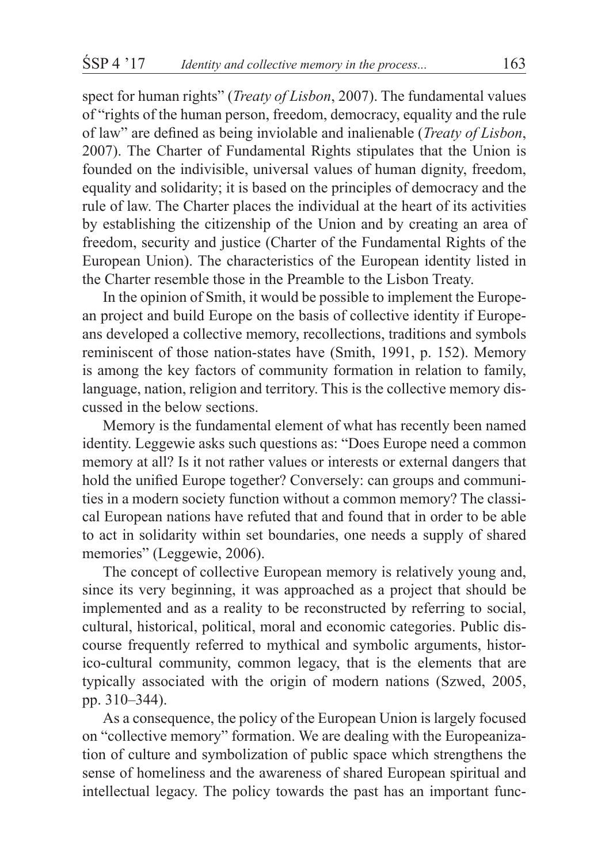spect for human rights" (*Treaty of Lisbon*, 2007). The fundamental values of "rights of the human person, freedom, democracy, equality and the rule of law" are defined as being inviolable and inalienable (*Treaty of Lisbon*, 2007). The Charter of Fundamental Rights stipulates that the Union is founded on the indivisible, universal values of human dignity, freedom, equality and solidarity; it is based on the principles of democracy and the rule of law. The Charter places the individual at the heart of its activities by establishing the citizenship of the Union and by creating an area of freedom, security and justice (Charter of the Fundamental Rights of the European Union). The characteristics of the European identity listed in the Charter resemble those in the Preamble to the Lisbon Treaty.

In the opinion of Smith, it would be possible to implement the European project and build Europe on the basis of collective identity if Europeans developed a collective memory, recollections, traditions and symbols reminiscent of those nation-states have (Smith, 1991, p. 152). Memory is among the key factors of community formation in relation to family, language, nation, religion and territory. This is the collective memory discussed in the below sections.

Memory is the fundamental element of what has recently been named identity. Leggewie asks such questions as: "Does Europe need a common memory at all? Is it not rather values or interests or external dangers that hold the unified Europe together? Conversely: can groups and communities in a modern society function without a common memory? The classical European nations have refuted that and found that in order to be able to act in solidarity within set boundaries, one needs a supply of shared memories" (Leggewie, 2006).

The concept of collective European memory is relatively young and, since its very beginning, it was approached as a project that should be implemented and as a reality to be reconstructed by referring to social, cultural, historical, political, moral and economic categories. Public discourse frequently referred to mythical and symbolic arguments, historico-cultural community, common legacy, that is the elements that are typically associated with the origin of modern nations (Szwed, 2005, pp. 310–344).

As a consequence, the policy of the European Union is largely focused on "collective memory" formation. We are dealing with the Europeanization of culture and symbolization of public space which strengthens the sense of homeliness and the awareness of shared European spiritual and intellectual legacy. The policy towards the past has an important func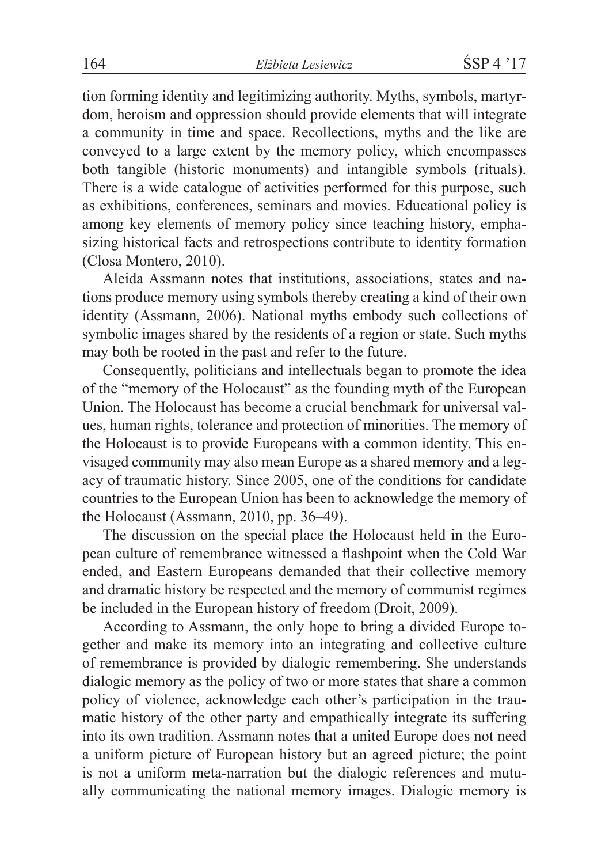tion forming identity and legitimizing authority. Myths, symbols, martyrdom, heroism and oppression should provide elements that will integrate a community in time and space. Recollections, myths and the like are conveyed to a large extent by the memory policy, which encompasses both tangible (historic monuments) and intangible symbols (rituals). There is a wide catalogue of activities performed for this purpose, such as exhibitions, conferences, seminars and movies. Educational policy is among key elements of memory policy since teaching history, emphasizing historical facts and retrospections contribute to identity formation (Closa Montero, 2010).

Aleida Assmann notes that institutions, associations, states and nations produce memory using symbols thereby creating a kind of their own identity (Assmann, 2006). National myths embody such collections of symbolic images shared by the residents of a region or state. Such myths may both be rooted in the past and refer to the future.

Consequently, politicians and intellectuals began to promote the idea of the "memory of the Holocaust" as the founding myth of the European Union. The Holocaust has become a crucial benchmark for universal values, human rights, tolerance and protection of minorities. The memory of the Holocaust is to provide Europeans with a common identity. This envisaged community may also mean Europe as a shared memory and a legacy of traumatic history. Since 2005, one of the conditions for candidate countries to the European Union has been to acknowledge the memory of the Holocaust (Assmann, 2010, pp. 36–49).

The discussion on the special place the Holocaust held in the European culture of remembrance witnessed a flashpoint when the Cold War ended, and Eastern Europeans demanded that their collective memory and dramatic history be respected and the memory of communist regimes be included in the European history of freedom (Droit, 2009).

According to Assmann, the only hope to bring a divided Europe together and make its memory into an integrating and collective culture of remembrance is provided by dialogic remembering. She understands dialogic memory as the policy of two or more states that share a common policy of violence, acknowledge each other's participation in the traumatic history of the other party and empathically integrate its suffering into its own tradition. Assmann notes that a united Europe does not need a uniform picture of European history but an agreed picture; the point is not a uniform meta-narration but the dialogic references and mutually communicating the national memory images. Dialogic memory is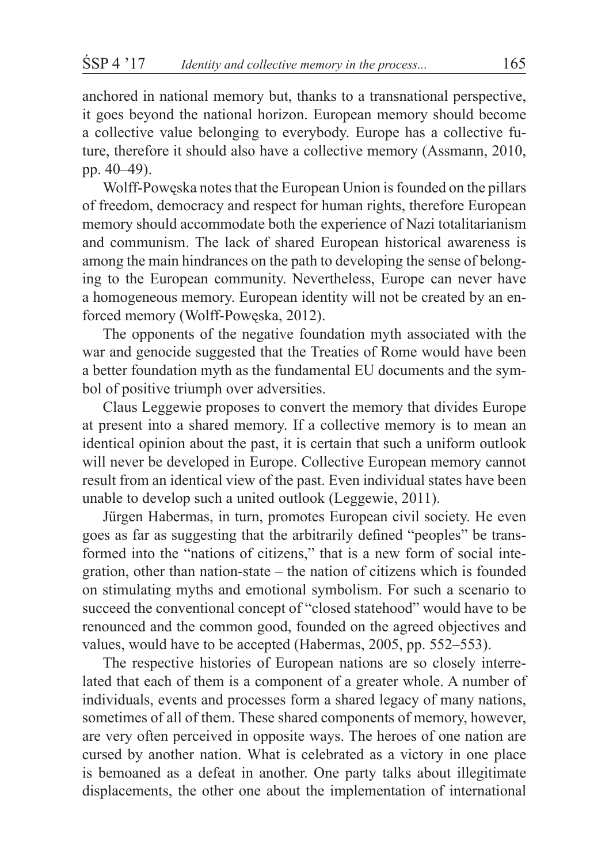anchored in national memory but, thanks to a transnational perspective, it goes beyond the national horizon. European memory should become a collective value belonging to everybody. Europe has a collective future, therefore it should also have a collective memory (Assmann, 2010, pp. 40–49).

Wolff-Powęska notes that the European Union is founded on the pillars of freedom, democracy and respect for human rights, therefore European memory should accommodate both the experience of Nazi totalitarianism and communism. The lack of shared European historical awareness is among the main hindrances on the path to developing the sense of belonging to the European community. Nevertheless, Europe can never have a homogeneous memory. European identity will not be created by an enforced memory (Wolff-Powęska, 2012).

The opponents of the negative foundation myth associated with the war and genocide suggested that the Treaties of Rome would have been a better foundation myth as the fundamental EU documents and the symbol of positive triumph over adversities.

Claus Leggewie proposes to convert the memory that divides Europe at present into a shared memory. If a collective memory is to mean an identical opinion about the past, it is certain that such a uniform outlook will never be developed in Europe. Collective European memory cannot result from an identical view of the past. Even individual states have been unable to develop such a united outlook (Leggewie, 2011).

Jürgen Habermas, in turn, promotes European civil society. He even goes as far as suggesting that the arbitrarily defined "peoples" be transformed into the "nations of citizens," that is a new form of social integration, other than nation-state – the nation of citizens which is founded on stimulating myths and emotional symbolism. For such a scenario to succeed the conventional concept of "closed statehood" would have to be renounced and the common good, founded on the agreed objectives and values, would have to be accepted (Habermas, 2005, pp. 552–553).

The respective histories of European nations are so closely interrelated that each of them is a component of a greater whole. A number of individuals, events and processes form a shared legacy of many nations, sometimes of all of them. These shared components of memory, however, are very often perceived in opposite ways. The heroes of one nation are cursed by another nation. What is celebrated as a victory in one place is bemoaned as a defeat in another. One party talks about illegitimate displacements, the other one about the implementation of international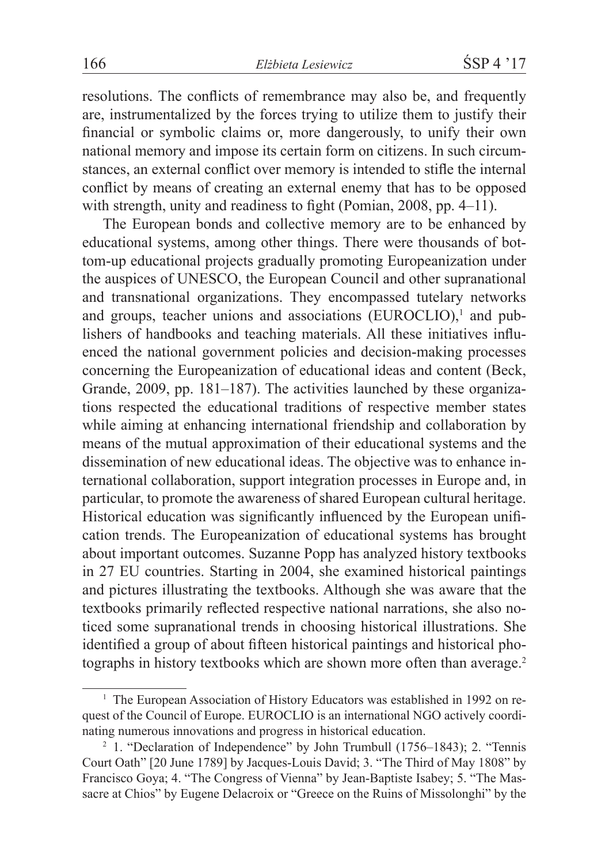resolutions. The conflicts of remembrance may also be, and frequently are, instrumentalized by the forces trying to utilize them to justify their financial or symbolic claims or, more dangerously, to unify their own national memory and impose its certain form on citizens. In such circumstances, an external conflict over memory is intended to stifle the internal conflict by means of creating an external enemy that has to be opposed with strength, unity and readiness to fight (Pomian, 2008, pp. 4–11).

The European bonds and collective memory are to be enhanced by educational systems, among other things. There were thousands of bottom-up educational projects gradually promoting Europeanization under the auspices of UNESCO, the European Council and other supranational and transnational organizations. They encompassed tutelary networks and groups, teacher unions and associations (EUROCLIO),<sup>1</sup> and publishers of handbooks and teaching materials. All these initiatives influenced the national government policies and decision-making processes concerning the Europeanization of educational ideas and content (Beck, Grande, 2009, pp. 181–187). The activities launched by these organizations respected the educational traditions of respective member states while aiming at enhancing international friendship and collaboration by means of the mutual approximation of their educational systems and the dissemination of new educational ideas. The objective was to enhance international collaboration, support integration processes in Europe and, in particular, to promote the awareness of shared European cultural heritage. Historical education was significantly influenced by the European unification trends. The Europeanization of educational systems has brought about important outcomes. Suzanne Popp has analyzed history textbooks in 27 EU countries. Starting in 2004, she examined historical paintings and pictures illustrating the textbooks. Although she was aware that the textbooks primarily reflected respective national narrations, she also noticed some supranational trends in choosing historical illustrations. She identified a group of about fifteen historical paintings and historical photographs in history textbooks which are shown more often than average.<sup>2</sup>

<sup>&</sup>lt;sup>1</sup> The European Association of History Educators was established in 1992 on request of the Council of Europe. EUROCLIO is an international NGO actively coordinating numerous innovations and progress in historical education.

<sup>&</sup>lt;sup>2</sup> 1. "Declaration of Independence" by John Trumbull (1756–1843); 2. "Tennis Court Oath" [20 June 1789] by Jacques-Louis David; 3. "The Third of May 1808" by Francisco Goya; 4. "The Congress of Vienna" by Jean-Baptiste Isabey; 5. "The Massacre at Chios" by Eugene Delacroix or "Greece on the Ruins of Missolonghi" by the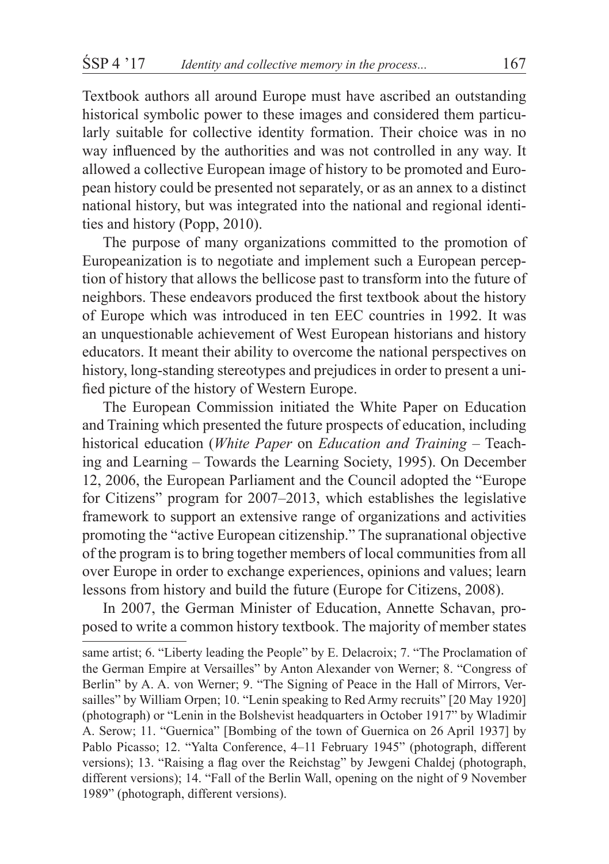Textbook authors all around Europe must have ascribed an outstanding historical symbolic power to these images and considered them particularly suitable for collective identity formation. Their choice was in no way influenced by the authorities and was not controlled in any way. It allowed a collective European image of history to be promoted and European history could be presented not separately, or as an annex to a distinct national history, but was integrated into the national and regional identities and history (Popp, 2010).

The purpose of many organizations committed to the promotion of Europeanization is to negotiate and implement such a European perception of history that allows the bellicose past to transform into the future of neighbors. These endeavors produced the first textbook about the history of Europe which was introduced in ten EEC countries in 1992. It was an unquestionable achievement of West European historians and history educators. It meant their ability to overcome the national perspectives on history, long-standing stereotypes and prejudices in order to present a unified picture of the history of Western Europe.

The European Commission initiated the White Paper on Education and Training which presented the future prospects of education, including historical education (*White Paper* on *Education and Training* – Teaching and Learning – Towards the Learning Society, 1995). On December 12, 2006, the European Parliament and the Council adopted the "Europe for Citizens" program for 2007–2013, which establishes the legislative framework to support an extensive range of organizations and activities promoting the "active European citizenship." The supranational objective of the program is to bring together members of local communities from all over Europe in order to exchange experiences, opinions and values; learn lessons from history and build the future (Europe for Citizens, 2008).

In 2007, the German Minister of Education, Annette Schavan, proposed to write a common history textbook. The majority of member states

same artist; 6. "Liberty leading the People" by E. Delacroix; 7. "The Proclamation of the German Empire at Versailles" by Anton Alexander von Werner; 8. "Congress of Berlin" by A. A. von Werner; 9. "The Signing of Peace in the Hall of Mirrors, Versailles" by William Orpen; 10. "Lenin speaking to Red Army recruits" [20 May 1920] (photograph) or "Lenin in the Bolshevist headquarters in October 1917" by Wladimir A. Serow; 11. "Guernica" [Bombing of the town of Guernica on 26 April 1937] by Pablo Picasso; 12. "Yalta Conference, 4–11 February 1945" (photograph, different versions); 13. "Raising a flag over the Reichstag" by Jewgeni Chaldej (photograph, different versions); 14. "Fall of the Berlin Wall, opening on the night of 9 November 1989" (photograph, different versions).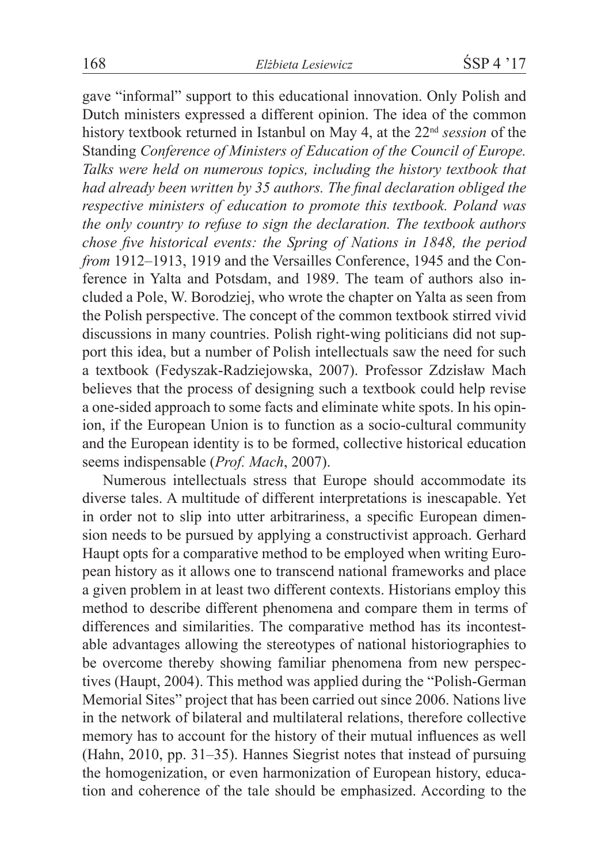gave "informal" support to this educational innovation. Only Polish and Dutch ministers expressed a different opinion. The idea of the common history textbook returned in Istanbul on May 4, at the 22nd *session* of the Standing *Conference of Ministers of Education of the Council of Europe. Talks were held on numerous topics, including the history textbook that had already been written by 35 authors. The final declaration obliged the respective ministers of education to promote this textbook. Poland was the only country to refuse to sign the declaration. The textbook authors chose five historical events: the Spring of Nations in 1848, the period from* 1912–1913, 1919 and the Versailles Conference, 1945 and the Conference in Yalta and Potsdam, and 1989. The team of authors also included a Pole, W. Borodziej, who wrote the chapter on Yalta as seen from the Polish perspective. The concept of the common textbook stirred vivid discussions in many countries. Polish right-wing politicians did not support this idea, but a number of Polish intellectuals saw the need for such a textbook (Fedyszak-Radziejowska, 2007). Professor Zdzisław Mach believes that the process of designing such a textbook could help revise a one-sided approach to some facts and eliminate white spots. In his opinion, if the European Union is to function as a socio-cultural community and the European identity is to be formed, collective historical education seems indispensable (*Prof. Mach*, 2007).

Numerous intellectuals stress that Europe should accommodate its diverse tales. A multitude of different interpretations is inescapable. Yet in order not to slip into utter arbitrariness, a specific European dimension needs to be pursued by applying a constructivist approach. Gerhard Haupt opts for a comparative method to be employed when writing European history as it allows one to transcend national frameworks and place a given problem in at least two different contexts. Historians employ this method to describe different phenomena and compare them in terms of differences and similarities. The comparative method has its incontestable advantages allowing the stereotypes of national historiographies to be overcome thereby showing familiar phenomena from new perspectives (Haupt, 2004). This method was applied during the "Polish-German Memorial Sites" project that has been carried out since 2006. Nations live in the network of bilateral and multilateral relations, therefore collective memory has to account for the history of their mutual influences as well (Hahn, 2010, pp. 31–35). Hannes Siegrist notes that instead of pursuing the homogenization, or even harmonization of European history, education and coherence of the tale should be emphasized. According to the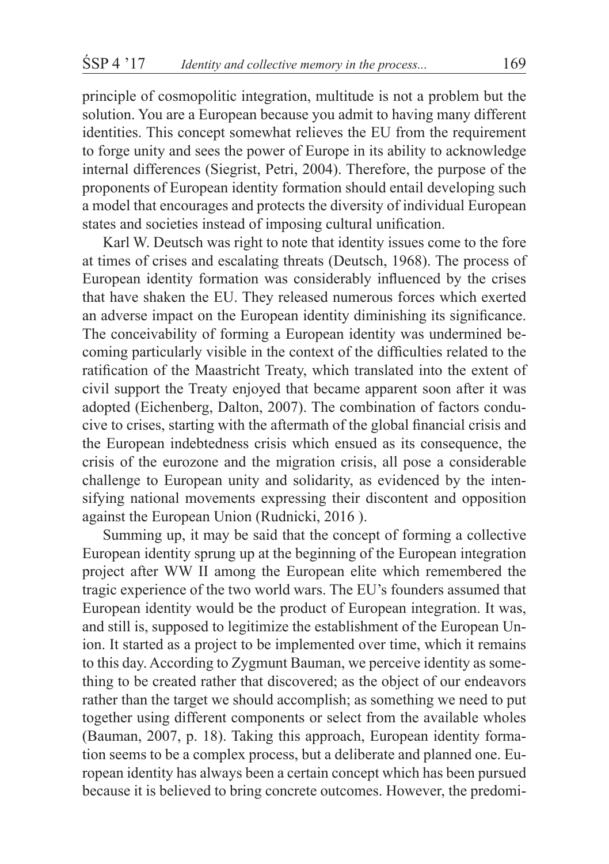principle of cosmopolitic integration, multitude is not a problem but the solution. You are a European because you admit to having many different identities. This concept somewhat relieves the EU from the requirement to forge unity and sees the power of Europe in its ability to acknowledge internal differences (Siegrist, Petri, 2004). Therefore, the purpose of the proponents of European identity formation should entail developing such a model that encourages and protects the diversity of individual European states and societies instead of imposing cultural unification.

Karl W. Deutsch was right to note that identity issues come to the fore at times of crises and escalating threats (Deutsch, 1968). The process of European identity formation was considerably influenced by the crises that have shaken the EU. They released numerous forces which exerted an adverse impact on the European identity diminishing its significance. The conceivability of forming a European identity was undermined becoming particularly visible in the context of the difficulties related to the ratification of the Maastricht Treaty, which translated into the extent of civil support the Treaty enjoyed that became apparent soon after it was adopted (Eichenberg, Dalton, 2007). The combination of factors conducive to crises, starting with the aftermath of the global financial crisis and the European indebtedness crisis which ensued as its consequence, the crisis of the eurozone and the migration crisis, all pose a considerable challenge to European unity and solidarity, as evidenced by the intensifying national movements expressing their discontent and opposition against the European Union (Rudnicki, 2016 ).

Summing up, it may be said that the concept of forming a collective European identity sprung up at the beginning of the European integration project after WW II among the European elite which remembered the tragic experience of the two world wars. The EU's founders assumed that European identity would be the product of European integration. It was, and still is, supposed to legitimize the establishment of the European Union. It started as a project to be implemented over time, which it remains to this day. According to Zygmunt Bauman, we perceive identity as something to be created rather that discovered; as the object of our endeavors rather than the target we should accomplish; as something we need to put together using different components or select from the available wholes (Bauman, 2007, p. 18). Taking this approach, European identity formation seems to be a complex process, but a deliberate and planned one. European identity has always been a certain concept which has been pursued because it is believed to bring concrete outcomes. However, the predomi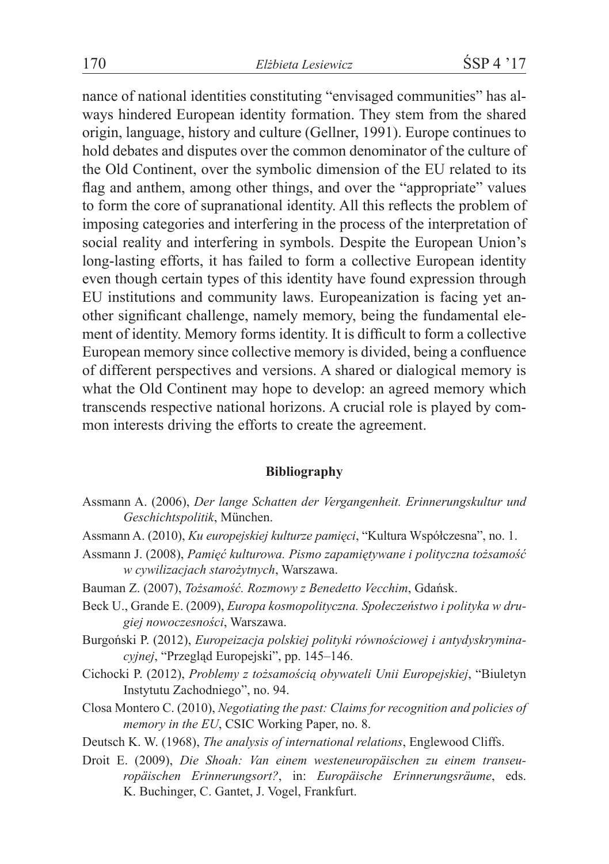nance of national identities constituting "envisaged communities" has always hindered European identity formation. They stem from the shared origin, language, history and culture (Gellner, 1991). Europe continues to hold debates and disputes over the common denominator of the culture of the Old Continent, over the symbolic dimension of the EU related to its flag and anthem, among other things, and over the "appropriate" values to form the core of supranational identity. All this reflects the problem of imposing categories and interfering in the process of the interpretation of social reality and interfering in symbols. Despite the European Union's long-lasting efforts, it has failed to form a collective European identity even though certain types of this identity have found expression through EU institutions and community laws. Europeanization is facing yet another significant challenge, namely memory, being the fundamental element of identity. Memory forms identity. It is difficult to form a collective European memory since collective memory is divided, being a confluence of different perspectives and versions. A shared or dialogical memory is what the Old Continent may hope to develop: an agreed memory which transcends respective national horizons. A crucial role is played by common interests driving the efforts to create the agreement.

#### **Bibliography**

- Assmann A. (2006), *Der lange Schatten der Vergangenheit. Erinnerungskultur und Geschichtspolitik*, München.
- Assmann A. (2010), *Ku europejskiej kulturze pamięci*, "Kultura Współczesna", no. 1.
- Assmann J. (2008), *Pamięć kulturowa. Pismo zapamiętywane i polityczna tożsamość w cywilizacjach starożytnych*, Warszawa.
- Bauman Z. (2007), *Tożsamość. Rozmowy z Benedetto Vecchim*, Gdańsk.
- Beck U., Grande E. (2009), *Europa kosmopolityczna. Społeczeństwo i polityka w drugiej nowoczesności*, Warszawa.
- Burgoński P. (2012), *Europeizacja polskiej polityki równościowej i antydyskryminacyjnej*, "Przegląd Europejski", pp. 145–146.
- Cichocki P. (2012), *Problemy z tożsamością obywateli Unii Europejskiej*, "Biuletyn Instytutu Zachodniego", no. 94.
- Closa Montero C. (2010), *Negotiating the past: Claims for recognition and policies of memory in the EU*, CSIC Working Paper, no. 8.
- Deutsch K. W. (1968), *The analysis of international relations*, Englewood Cliffs.
- Droit E. (2009), *Die Shoah: Van einem westeneuropäischen zu einem transeuropäischen Erinnerungsort?*, in: *Europäische Erinnerungsräume*, eds. K. Buchinger, C. Gantet, J. Vogel, Frankfurt.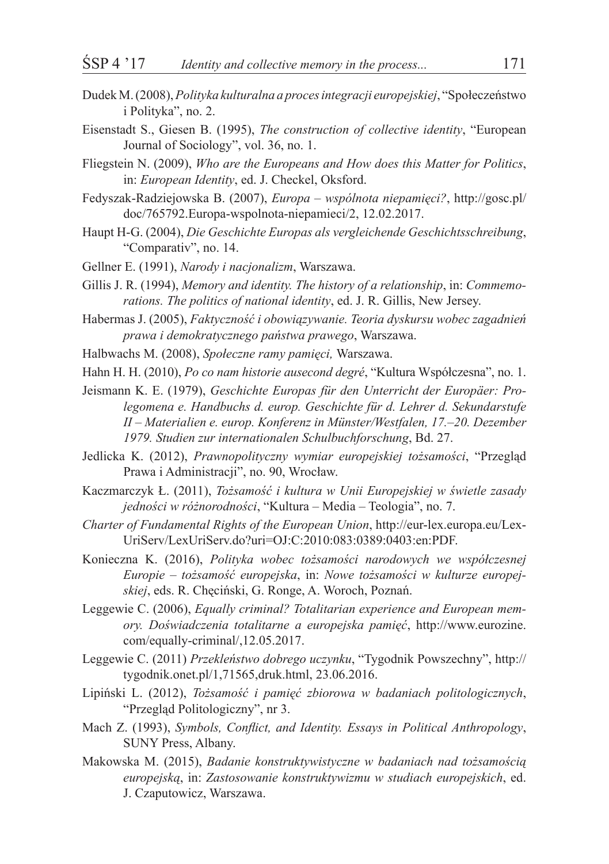- Dudek M. (2008), *Polityka kulturalna a procesintegracji europejskiej*, "Społeczeństwo i Polityka", no. 2.
- Eisenstadt S., Giesen B. (1995), *The construction of collective identity*, "European Journal of Sociology", vol. 36, no. 1.
- Fliegstein N. (2009), *Who are the Europeans and How does this Matter for Politics*, in: *European Identity*, ed. J. Checkel, Oksford.
- Fedyszak-Radziejowska B. (2007), *Europa – wspólnota niepamięci?*, http://gosc.pl/ doc/765792.Europa-wspolnota-niepamieci/2, 12.02.2017.
- Haupt H-G. (2004), *Die Geschichte Europas als vergleichende Geschichtsschreibung*, "Comparativ", no. 14.
- Gellner E. (1991), *Narody i nacjonalizm*, Warszawa.
- Gillis J. R. (1994), *Memory and identity. The history of a relationship*, in: *Commemorations. The politics of national identity*, ed. J. R. Gillis, New Jersey.
- Habermas J. (2005), *Faktyczność i obowiązywanie. Teoria dyskursu wobec zagadnień prawa i demokratycznego państwa prawego*, Warszawa.
- Halbwachs M. (2008), *Społeczne ramy pamięci,* Warszawa.
- Hahn H. H. (2010), *Po co nam historie ausecond degré*, "Kultura Współczesna", no. 1.
- Jeismann K. E. (1979), *Geschichte Europas für den Unterricht der Europäer: Prolegomena e. Handbuchs d. europ. Geschichte für d. Lehrer d. Sekundarstufe II – Materialien e. europ. Konferenz in Münster/Westfalen, 17.–20. Dezember 1979. Studien zur internationalen Schulbuchforschung*, Bd. 27.
- Jedlicka K. (2012), *Prawnopolityczny wymiar europejskiej tożsamości*, "Przegląd Prawa i Administracji", no. 90, Wrocław.
- Kaczmarczyk Ł. (2011), *Tożsamość i kultura w Unii Europejskiej w świetle zasady jedności w różnorodności*, "Kultura – Media – Teologia", no. 7.
- *Charter of Fundamental Rights of the European Union*, http://eur-lex.europa.eu/Lex-UriServ/LexUriServ.do?uri=OJ:C:2010:083:0389:0403:en:PDF.
- Konieczna K. (2016), *Polityka wobec tożsamości narodowych we współczesnej Europie – tożsamość europejska*, in: *Nowe tożsamości w kulturze europejskiej*, eds. R. Chęciński, G. Ronge, A. Woroch, Poznań.
- Leggewie C. (2006), *Equally criminal? Totalitarian experience and European memory. Doświadczenia totalitarne a europejska pamięć*, http://www.eurozine. com/equally-criminal/,12.05.2017.
- Leggewie C. (2011) *Przekleństwo dobrego uczynku*, "Tygodnik Powszechny", http:// tygodnik.onet.pl/1,71565,druk.html, 23.06.2016.
- Lipiński L. (2012), *Tożsamość i pamięć zbiorowa w badaniach politologicznych*, "Przegląd Politologiczny", nr 3.
- Mach Z. (1993), *Symbols, Conflict, and Identity. Essays in Political Anthropology*, SUNY Press, Albany.
- Makowska M. (2015), *Badanie konstruktywistyczne w badaniach nad tożsamością europejską*, in: *Zastosowanie konstruktywizmu w studiach europejskich*, ed. J. Czaputowicz, Warszawa.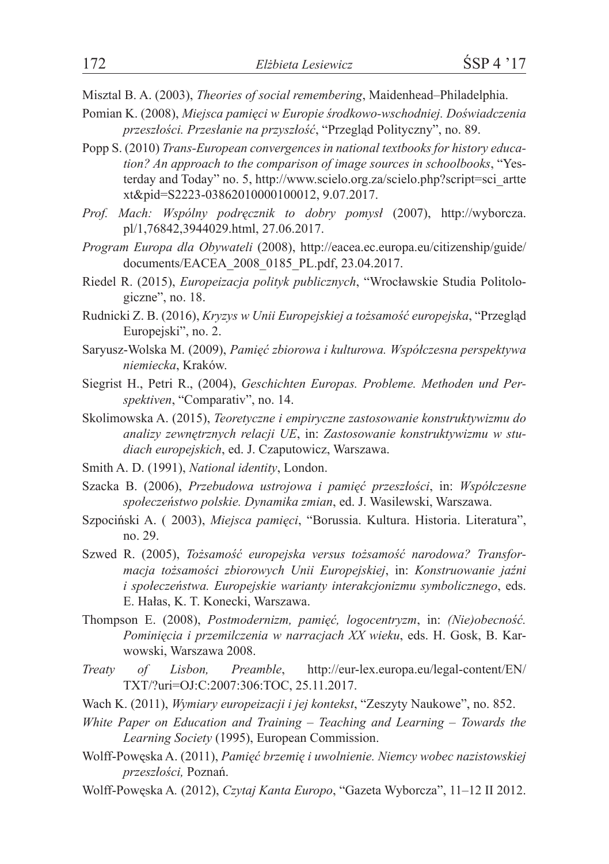Misztal B. A. (2003), *Theories of social remembering*, Maidenhead–Philadelphia.

- Pomian K. (2008), *Miejsca pamięci w Europie środkowo-wschodniej. Doświadczenia przeszłości. Przesłanie na przyszłość*, "Przegląd Polityczny", no. 89.
- Popp S. (2010) *Trans-European convergences in national textbooks for history education? An approach to the comparison of image sources in schoolbooks*, "Yesterday and Today" no. 5, http://www.scielo.org.za/scielo.php?script=sci\_artte xt&pid=S2223-03862010000100012, 9.07.2017.
- *Prof. Mach: Wspólny podręcznik to dobry pomysł* (2007), http://wyborcza. pl/1,76842,3944029.html, 27.06.2017.
- *Program Europa dla Obywateli* (2008), http://eacea.ec.europa.eu/citizenship/guide/ documents/EACEA\_2008\_0185\_PL.pdf, 23.04.2017.
- Riedel R. (2015), *Europeizacja polityk publicznych*, "Wrocławskie Studia Politologiczne", no. 18.
- Rudnicki Z. B. (2016), *Kryzys w Unii Europejskiej a tożsamość europejska*, "Przegląd Europejski", no. 2.
- Saryusz-Wolska M. (2009), *Pamięć zbiorowa i kulturowa. Współczesna perspektywa niemiecka*, Kraków.
- Siegrist H., Petri R., (2004), *Geschichten Europas. Probleme. Methoden und Perspektiven*, "Comparativ", no. 14.
- Skolimowska A. (2015), *Teoretyczne i empiryczne zastosowanie konstruktywizmu do analizy zewnętrznych relacji UE*, in: *Zastosowanie konstruktywizmu w studiach europejskich*, ed. J. Czaputowicz, Warszawa.
- Smith A. D. (1991), *National identity*, London.
- Szacka B. (2006), *Przebudowa ustrojowa i pamięć przeszłości*, in: *Współczesne społeczeństwo polskie. Dynamika zmian*, ed. J. Wasilewski, Warszawa.
- Szpociński A. ( 2003), *Miejsca pamięci*, "Borussia. Kultura. Historia. Literatura", no. 29.
- Szwed R. (2005), *Tożsamość europejska versus tożsamość narodowa? Transformacja tożsamości zbiorowych Unii Europejskiej*, in: *Konstruowanie jaźni i społeczeństwa. Europejskie warianty interakcjonizmu symbolicznego*, eds. E. Hałas, K. T. Konecki, Warszawa.
- Thompson E. (2008), *Postmodernizm, pamięć, logocentryzm*, in: *(Nie)obecność. Pominięcia i przemilczenia w narracjach XX wieku*, eds. H. Gosk, B. Karwowski, Warszawa 2008.
- *Treaty of Lisbon, Preamble*, http://eur-lex.europa.eu/legal-content/EN/ TXT/?uri=OJ:C:2007:306:TOC, 25.11.2017.
- Wach K. (2011), *Wymiary europeizacji i jej kontekst*, "Zeszyty Naukowe", no. 852.
- *White Paper on Education and Training – Teaching and Learning – Towards the Learning Society* (1995), European Commission.
- Wolff-Powęska A. (2011), *Pamięć brzemię i uwolnienie. Niemcy wobec nazistowskiej przeszłości,* Poznań.
- Wolff-Powęska A*.* (2012), *Czytaj Kanta Europo*, "Gazeta Wyborcza", 11–12 II 2012.